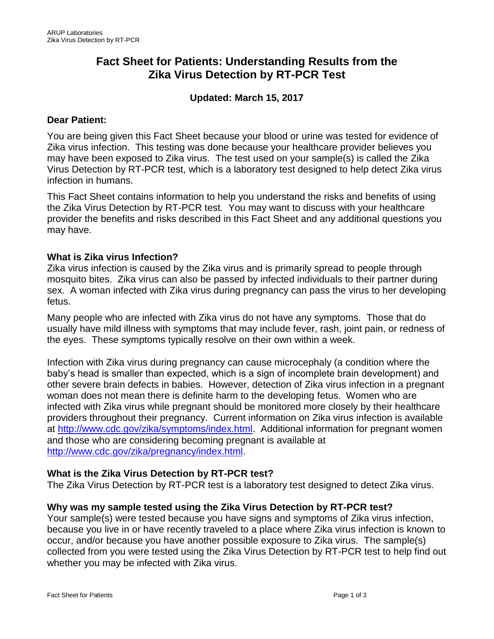# **Fact Sheet for Patients: Understanding Results from the Zika Virus Detection by RT-PCR Test**

# **Updated: March 15, 2017**

#### **Dear Patient:**

You are being given this Fact Sheet because your blood or urine was tested for evidence of Zika virus infection. This testing was done because your healthcare provider believes you may have been exposed to Zika virus. The test used on your sample(s) is called the Zika Virus Detection by RT-PCR test, which is a laboratory test designed to help detect Zika virus infection in humans.

This Fact Sheet contains information to help you understand the risks and benefits of using the Zika Virus Detection by RT-PCR test*.* You may want to discuss with your healthcare provider the benefits and risks described in this Fact Sheet and any additional questions you may have.

## **What is Zika virus Infection?**

Zika virus infection is caused by the Zika virus and is primarily spread to people through mosquito bites. Zika virus can also be passed by infected individuals to their partner during sex. A woman infected with Zika virus during pregnancy can pass the virus to her developing fetus.

Many people who are infected with Zika virus do not have any symptoms. Those that do usually have mild illness with symptoms that may include fever, rash, joint pain, or redness of the eyes. These symptoms typically resolve on their own within a week.

Infection with Zika virus during pregnancy can cause microcephaly (a condition where the baby's head is smaller than expected, which is a sign of incomplete brain development) and other severe brain defects in babies. However, detection of Zika virus infection in a pregnant woman does not mean there is definite harm to the developing fetus. Women who are infected with Zika virus while pregnant should be monitored more closely by their healthcare providers throughout their pregnancy. Current information on Zika virus infection is available at [http://www.cdc.gov/zika/symptoms/index.html.](http://www.cdc.gov/zika/symptoms/index.html) Additional information for pregnant women and those who are considering becoming pregnant is available at [http://www.cdc.gov/zika/pregnancy/index.html.](http://www.cdc.gov/zika/pregnancy/index.html)

## **What is the Zika Virus Detection by RT-PCR test?**

The Zika Virus Detection by RT-PCR test is a laboratory test designed to detect Zika virus.

## **Why was my sample tested using the Zika Virus Detection by RT-PCR test?**

Your sample(s) were tested because you have signs and symptoms of Zika virus infection, because you live in or have recently traveled to a place where Zika virus infection is known to occur, and/or because you have another possible exposure to Zika virus. The sample(s) collected from you were tested using the Zika Virus Detection by RT-PCR test to help find out whether you may be infected with Zika virus.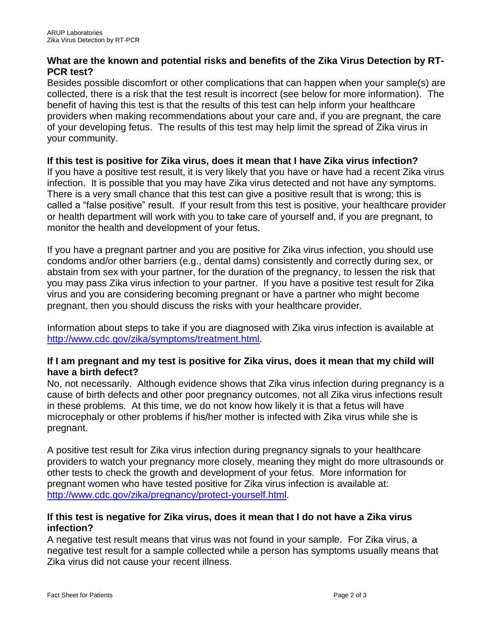## **What are the known and potential risks and benefits of the Zika Virus Detection by RT-PCR test?**

Besides possible discomfort or other complications that can happen when your sample(s) are collected, there is a risk that the test result is incorrect (see below for more information). The benefit of having this test is that the results of this test can help inform your healthcare providers when making recommendations about your care and, if you are pregnant, the care of your developing fetus. The results of this test may help limit the spread of Zika virus in your community.

#### **If this test is positive for Zika virus, does it mean that I have Zika virus infection?**

If you have a positive test result, it is very likely that you have or have had a recent Zika virus infection. It is possible that you may have Zika virus detected and not have any symptoms. There is a very small chance that this test can give a positive result that is wrong; this is called a "false positive" result. If your result from this test is positive, your healthcare provider or health department will work with you to take care of yourself and, if you are pregnant, to monitor the health and development of your fetus.

If you have a pregnant partner and you are positive for Zika virus infection, you should use condoms and/or other barriers (e.g., dental dams) consistently and correctly during sex, or abstain from sex with your partner, for the duration of the pregnancy, to lessen the risk that you may pass Zika virus infection to your partner. If you have a positive test result for Zika virus and you are considering becoming pregnant or have a partner who might become pregnant, then you should discuss the risks with your healthcare provider.

Information about steps to take if you are diagnosed with Zika virus infection is available at [http://www.cdc.gov/zika/symptoms/treatment.html.](http://www.cdc.gov/zika/symptoms/treatment.html)

## **If I am pregnant and my test is positive for Zika virus, does it mean that my child will have a birth defect?**

No, not necessarily. Although evidence shows that Zika virus infection during pregnancy is a cause of birth defects and other poor pregnancy outcomes, not all Zika virus infections result in these problems. At this time, we do not know how likely it is that a fetus will have microcephaly or other problems if his/her mother is infected with Zika virus while she is pregnant.

A positive test result for Zika virus infection during pregnancy signals to your healthcare providers to watch your pregnancy more closely, meaning they might do more ultrasounds or other tests to check the growth and development of your fetus. More information for pregnant women who have tested positive for Zika virus infection is available at: [http://www.cdc.gov/zika/pregnancy/protect-yourself.html.](http://www.cdc.gov/zika/pregnancy/protect-yourself.html)

## **If this test is negative for Zika virus, does it mean that I do not have a Zika virus infection?**

A negative test result means that virus was not found in your sample. For Zika virus, a negative test result for a sample collected while a person has symptoms usually means that Zika virus did not cause your recent illness.